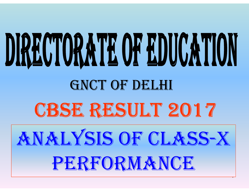# DIRECTORATE OF EDUCATION GNCT OF DELHI CBSE RESULT 2017 <sup>2017</sup>ANALYSIS OF CLASS-X PERFORMANCE

.<br>-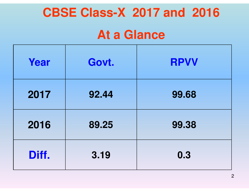# **CBSE Class-X 2017 and 2016**

# **At a Glance**

| Year  | Govt. | <b>RPVV</b> |
|-------|-------|-------------|
| 2017  | 92.44 | 99.68       |
| 2016  | 89.25 | 99.38       |
| Diff. | 3.19  | 0.3         |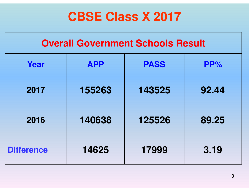# **CBSE Class X 2017**

| <b>Overall Government Schools Result</b> |            |             |       |  |  |  |
|------------------------------------------|------------|-------------|-------|--|--|--|
| Year                                     | <b>APP</b> | <b>PASS</b> | PP%   |  |  |  |
| 2017                                     | 155263     | 143525      | 92.44 |  |  |  |
| 2016                                     | 140638     | 125526      | 89.25 |  |  |  |
| <b>Difference</b>                        | 14625      | 17999       | 3.19  |  |  |  |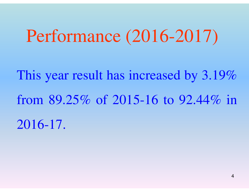# Performance (2016-2017)

This year result has increased by 3.19%from 89.25% of 2015-16 to 92.44% in 2016-17.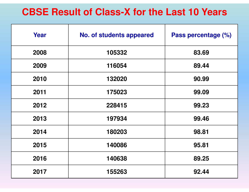#### **CBSE Result of Class-X for the Last 10 Years**

| Year | <b>No. of students appeared</b> | Pass percentage (%) |
|------|---------------------------------|---------------------|
| 2008 | 105332                          | 83.69               |
| 2009 | 116054                          | 89.44               |
| 2010 | 132020                          | 90.99               |
| 2011 | 175023                          | 99.09               |
| 2012 | 228415                          | 99.23               |
| 2013 | 197934                          | 99.46               |
| 2014 | 180203                          | 98.81               |
| 2015 | 140086                          | 95.81               |
| 2016 | 140638                          | 89.25               |
| 2017 | 155263                          | 92.44               |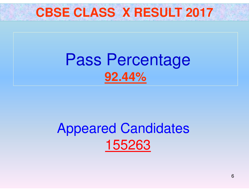

# Pass Percentage **92.44%**

# Appeared Candidates 155263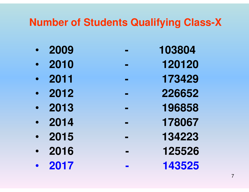### **Number of Students Qualifying Class-X**

**-**

- $\bullet$
- $\bullet$
- $\bullet$
- $\bullet$ **<sup>2012</sup>**
- $\bullet$
- 2014
- •
- **2016 - <sup>125526</sup>** $\bullet$
- **2017 - <sup>143525</sup>** $\bullet$
- **<sup>2009</sup> - <sup>103804</sup>**
- **<sup>2010</sup> - <sup>120120</sup>**
- **<sup>2011</sup> - <sup>173429</sup>**
	- **226652**
- 196858 **<sup>2013</sup> - <sup>196858</sup>**
- **<sup>2014</sup> - <sup>178067</sup>**
	- **<sup>2015</sup> - <sup>134223</sup>**
		-
		-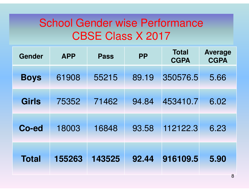## School Gender wise PerformanceCBSE Class X 2017

| Gender       | <b>APP</b> | <b>Pass</b> | <b>PP</b> | <b>Total</b><br><b>CGPA</b> | <b>Average</b><br><b>CGPA</b> |
|--------------|------------|-------------|-----------|-----------------------------|-------------------------------|
| <b>Boys</b>  | 61908      | 55215       | 89.19     | 350576.5                    | 5.66                          |
| <b>Girls</b> | 75352      | 71462       | 94.84     | 453410.7                    | 6.02                          |
| Co-ed        | 18003      | 16848       | 93.58     | 112122.3                    | 6.23                          |
| <b>Total</b> | 155263     | 143525      | 92.44     | 916109.5                    | 5.90                          |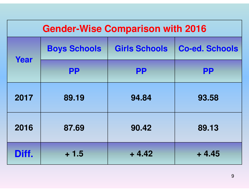| <b>Gender-Wise Comparison with 2016</b> |                     |                      |                       |  |  |  |  |  |
|-----------------------------------------|---------------------|----------------------|-----------------------|--|--|--|--|--|
|                                         | <b>Boys Schools</b> | <b>Girls Schools</b> | <b>Co-ed. Schools</b> |  |  |  |  |  |
| Year                                    | <b>PP</b>           | <b>PP</b>            | <b>PP</b>             |  |  |  |  |  |
| 2017                                    | 89.19               | 94.84                | 93.58                 |  |  |  |  |  |
| 2016                                    | 87.69               | 90.42                | 89.13                 |  |  |  |  |  |
| Diff.                                   | $+1.5$              | $+4.42$              | $+4.45$               |  |  |  |  |  |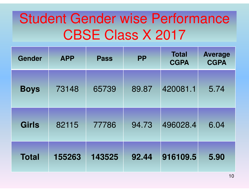# Student Gender wise PerformanceCBSE Class X 2017

| <b>Gender</b> | <b>APP</b> | <b>PP</b><br><b>Pass</b> |       | <b>Total</b><br><b>CGPA</b> | <b>Average</b><br><b>CGPA</b> |
|---------------|------------|--------------------------|-------|-----------------------------|-------------------------------|
| <b>Boys</b>   | 73148      | 65739                    | 89.87 | 420081.1                    | 5.74                          |
| <b>Girls</b>  | 82115      | 77786                    | 94.73 | 496028.4                    | 6.04                          |
| <b>Total</b>  | 155263     | 143525                   | 92.44 | 916109.5                    | 5.90                          |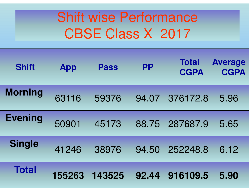# Shift wise Performance CBSE Class X 2017

| <b>Shift</b>   | <b>App</b> | <b>Pass</b> | <b>PP</b> | <b>Total</b><br><b>CGPA</b> | <b>Average</b><br><b>CGPA</b> |
|----------------|------------|-------------|-----------|-----------------------------|-------------------------------|
| <b>Morning</b> | 63116      | 59376       | 94.07     | 376172.8                    | 5.96                          |
| <b>Evening</b> | 50901      | 45173       | 88.75     | 287687.9                    | 5.65                          |
| <b>Single</b>  | 41246      | 38976       | 94.50     | 252248.8                    | 6.12                          |
| <b>Total</b>   | 155263     | 143525      | 92.44     | 916109.5                    | 5.90                          |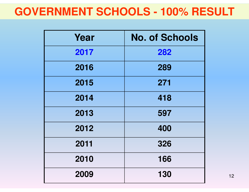### **GOVERNMENT SCHOOLS - 100% RESULT**

| Year | <b>No. of Schools</b> |
|------|-----------------------|
| 2017 | 282                   |
| 2016 | 289                   |
| 2015 | 271                   |
| 2014 | 418                   |
| 2013 | 597                   |
| 2012 | 400                   |
| 2011 | 326                   |
| 2010 | 166                   |
| 2009 | 130                   |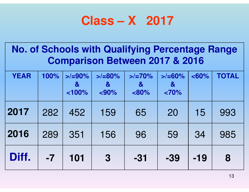## **Class – X 2017**

| <b>No. of Schools with Qualifying Percentage Range</b><br><b>Comparison Between 2017 &amp; 2016</b> |      |                                          |                                                  |                                             |                                            |          |              |  |
|-----------------------------------------------------------------------------------------------------|------|------------------------------------------|--------------------------------------------------|---------------------------------------------|--------------------------------------------|----------|--------------|--|
| <b>YEAR</b>                                                                                         | 100% | $>$ /=90%<br>$\mathbf{\alpha}$<br>< 100% | $>2 = 80\%$<br>$\boldsymbol{\alpha}$<br>$< 90\%$ | $>$ /=70%<br>$\boldsymbol{\alpha}$<br>< 80% | $>$ /=60%<br>$\boldsymbol{\alpha}$<br><70% | $< 60\%$ | <b>TOTAL</b> |  |
| 2017                                                                                                | 282  | 452                                      | 159                                              | 65                                          | 20                                         | 15       | 993          |  |
| 2016                                                                                                | 289  | 351                                      | 156                                              | 96                                          | 59                                         | 34       | 985          |  |
| Diff.                                                                                               | $-7$ | 101                                      | $\bf{3}$                                         | $-31$                                       | $-39$                                      | $-19$    | 8            |  |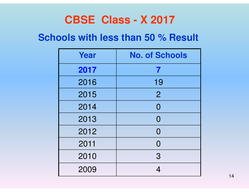### **CBSE Class - X 2017**

#### **Schools with less than 50 % Result**

| Year | <b>No. of Schools</b>    |
|------|--------------------------|
| 2017 | 7                        |
| 2016 | 19                       |
| 2015 | $\overline{2}$           |
| 2014 | $\overline{0}$           |
| 2013 | $\Omega$                 |
| 2012 | $\Omega$                 |
| 2011 | $\Omega$                 |
| 2010 | 3                        |
| 2009 | $\boldsymbol{\varDelta}$ |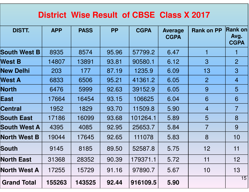#### **District Wise Result of CBSE Class X 2017**

| <b>DISTT.</b>       | <b>APP</b> | <b>PASS</b> | <b>PP</b> | <b>CGPA</b> | <b>Average</b><br><b>CGPA</b> | <b>Rank on PP</b> | <b>Rank on</b><br>Avg.<br><b>CGPA</b> |
|---------------------|------------|-------------|-----------|-------------|-------------------------------|-------------------|---------------------------------------|
| <b>South West B</b> | 8935       | 8574        | 95.96     | 57799.2     | 6.47                          | 1                 |                                       |
| <b>West B</b>       | 14807      | 13891       | 93.81     | 90580.1     | 6.12                          | $\overline{3}$    | $\overline{2}$                        |
| <b>New Delhi</b>    | 203        | 177         | 87.19     | 1235.9      | 6.09                          | 13                | 3                                     |
| <b>West A</b>       | 6833       | 6506        | 95.21     | 41361.2     | 6.05                          | $\overline{2}$    | $\overline{4}$                        |
| <b>North</b>        | 6476       | 5999        | 92.63     | 39152.9     | 6.05                          | 9                 | 5                                     |
| <b>East</b>         | 17664      | 16454       | 93.15     | 106625      | 6.04                          | 6                 | 6                                     |
| <b>Central</b>      | 1952       | 1829        | 93.70     | 11509.8     | 5.90                          | $\overline{4}$    | $\overline{7}$                        |
| <b>South East</b>   | 17186      | 16099       | 93.68     | 101264.1    | 5.89                          | 5                 | 8                                     |
| <b>South West A</b> | 4395       | 4085        | 92.95     | 25653.7     | 5.84                          | $\overline{7}$    | 9                                     |
| <b>North West B</b> | 19044      | 17645       | 92.65     | 111078      | 5.83                          | 8                 | 10 <sub>1</sub>                       |
| South               | 9145       | 8185        | 89.50     | 52587.8     | 5.75                          | 12                | 11                                    |
| <b>North East</b>   | 31368      | 28352       | 90.39     | 179371.1    | 5.72                          | 11                | 12                                    |
| <b>North West A</b> | 17255      | 15729       | 91.16     | 97890.7     | 5.67                          | 10                | 13                                    |
| <b>Grand Total</b>  | 155263     | 143525      | 92.44     | 916109.5    | 5.90                          |                   | 15                                    |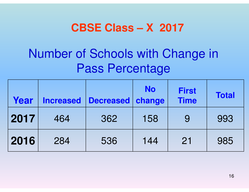### **CBSE Class – X 2017**

# Number of Schools with Change in Pass Percentage

| Year | <b>Increased</b> | <b>Decreased</b> | <b>No</b><br>change | <b>First</b><br><b>Time</b> | <b>Total</b> |
|------|------------------|------------------|---------------------|-----------------------------|--------------|
| 2017 | 464              | 362              | 158                 | 9                           | 993          |
| 2016 | 284              | 536              | 144                 | 21                          | 985          |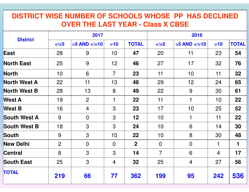#### **DISTRICT WISE NUMBER OF SCHOOLS WHOSE PP HAS DECLINED OVER THE LAST YEAR - Class X CBSE**

| <b>District</b>     | 2017           |                |                |                | 2016            |                |                |              |  |
|---------------------|----------------|----------------|----------------|----------------|-----------------|----------------|----------------|--------------|--|
|                     | $5$            | $>5$ AND $$    | >10            | <b>TOTAL</b>   | $\le$ / $=$ 5   | $>5$ AND $$    | >10            | <b>TOTAL</b> |  |
| East                | 28             | 9              | 10             | 47             | 20              | 11             | 23             | 54           |  |
| <b>North East</b>   | 25             | 9              | 12             | 46             | 27              | 17             | 32             | 76           |  |
| North               | 10             | 6              | $\overline{7}$ | 23             | 11              | 10             | 11             | 32           |  |
| <b>North West A</b> | 22             | 11             | 13             | 46             | 29              | 12             | 24             | 65           |  |
| <b>North West B</b> | 28             | 13             | 8              | 49             | 22              | 9              | 30             | 61           |  |
| <b>West A</b>       | 19             | $\overline{2}$ | 1              | 22             | 11              | 1              | 10             | 22           |  |
| <b>West B</b>       | 16             | $\overline{4}$ | 3              | 23             | 17              | 10             | 25             | 52           |  |
| South West A        | 9              | $\overline{0}$ | $\mathfrak{S}$ | 12             | 10 <sup>1</sup> | $\mathbf 1$    | 11             | 22           |  |
| <b>South West B</b> | 18             | 3              | 3              | 24             | 10              | 6              | 14             | 30           |  |
| South               | 9              | 3              | 10             | 22             | 10              | 8              | 30             | 48           |  |
| <b>New Delhi</b>    | $\overline{2}$ | $\overline{0}$ | $\overline{0}$ | $\overline{2}$ | $\overline{0}$  | $\overline{0}$ | 1              | 1            |  |
| Central             | 8              | 3              | 3              | 14             | $\overline{7}$  | 6              | $\overline{4}$ | 17           |  |
| <b>South East</b>   | 25             | $\mathbf{3}$   | $\overline{4}$ | 32             | 25              | $\overline{4}$ | 27             | 56           |  |
| <b>TOTAL</b>        | 219            | 66             | 77             | 362            | 199             | 95             | 242            | 536          |  |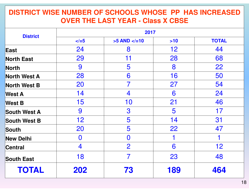#### **DISTRICT WISE NUMBER OF SCHOOLS WHOSE PP HAS INCREASED OVER THE LAST YEAR - Class X CBSE**

| <b>District</b>     | 2017          |                         |                 |              |  |  |  |  |
|---------------------|---------------|-------------------------|-----------------|--------------|--|--|--|--|
|                     | $\le$ / $=$ 5 | $>5$ AND $$             | >10             | <b>TOTAL</b> |  |  |  |  |
| East                | 24            | 8                       | 12 <sub>2</sub> | 44           |  |  |  |  |
| <b>North East</b>   | 29            | 11                      | 28              | 68           |  |  |  |  |
| North               | 9             | 5                       | 8               | 22           |  |  |  |  |
| <b>North West A</b> | 28            | 6                       | 16              | 50           |  |  |  |  |
| <b>North West B</b> | 20            | 7                       | 27              | 54           |  |  |  |  |
| <b>West A</b>       | 14            | $\overline{\mathbf{4}}$ | 6               | 24           |  |  |  |  |
| <b>West B</b>       | 15            | 10                      | 21              | 46           |  |  |  |  |
| <b>South West A</b> | 9             | 3                       | 5               | 17           |  |  |  |  |
| <b>South West B</b> | 12            | 5                       | 14              | 31           |  |  |  |  |
| South               | 20            | 5                       | 22              | 47           |  |  |  |  |
| <b>New Delhi</b>    | $\bf{0}$      | $\bf{0}$                |                 |              |  |  |  |  |
| Central             | 4             | $\overline{2}$          | 6               | 12           |  |  |  |  |
| <b>South East</b>   | 18            | $\overline{7}$          | 23              | 48           |  |  |  |  |
| <b>TOTAL</b>        | 202           | 73                      | 189             | 464          |  |  |  |  |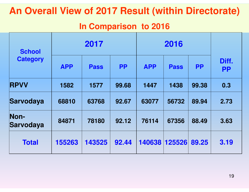#### **An Overall View of 2017 Result (within Directorate)**

#### **In Comparison to 2016**

| <b>School</b>     | 2017       |             |           |               |             |           |                    |
|-------------------|------------|-------------|-----------|---------------|-------------|-----------|--------------------|
| <b>Category</b>   | <b>APP</b> | <b>Pass</b> | <b>PP</b> | <b>APP</b>    | <b>Pass</b> | <b>PP</b> | Diff.<br><b>PP</b> |
| <b>RPVV</b>       | 1582       | 1577        | 99.68     | 1447          | 1438        | 99.38     | 0.3                |
| Sarvodaya         | 68810      | 63768       | 92.67     | 63077         | 56732       | 89.94     | 2.73               |
| Non-<br>Sarvodaya | 84871      | 78180       | 92.12     | 76114         | 67356       | 88.49     | 3.63               |
| <b>Total</b>      | 155263     | 143525      | 92.44     | 140638 125526 |             | 89.25     | 3.19               |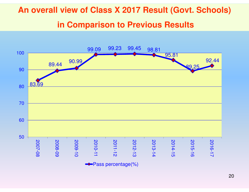### **An overall view of Class X 2017 Result (Govt. Schools) in Comparison to Previous Results**

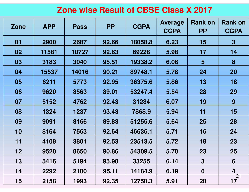#### **Zone wise Result of CBSE Class X 2017**

| <b>Zone</b> | <b>APP</b> | <b>Pass</b> | <b>PP</b> | <b>CGPA</b> | <b>Average</b><br><b>CGPA</b> | <b>Rank on</b><br><b>PP</b> | <b>Rank on</b><br><b>CGPA</b> |
|-------------|------------|-------------|-----------|-------------|-------------------------------|-----------------------------|-------------------------------|
| 01          | 2900       | 2687        | 92.66     | 18058.8     | 6.23                          | 15                          | $\mathbf 3$                   |
| 02          | 11581      | 10727       | 92.63     | 69228       | 5.98                          | 17                          | 14                            |
| 03          | 3183       | 3040        | 95.51     | 19338.2     | 6.08                          | 5                           | 8                             |
| 04          | 15537      | 14016       | 90.21     | 89748.1     | 5.78                          | 24                          | <b>20</b>                     |
| 05          | 6211       | 5773        | 92.95     | 36375.6     | 5.86                          | 13                          | 18                            |
| 06          | 9620       | 8563        | 89.01     | 53247.4     | 5.54                          | 28                          | 29                            |
| 07          | 5152       | 4762        | 92.43     | 31284       | 6.07                          | 19                          | 9                             |
| 08          | 1324       | 1237        | 93.43     | 7868.9      | 5.94                          | 11                          | 15                            |
| 09          | 9091       | 8166        | 89.83     | 51255.6     | 5.64                          | 25                          | 28                            |
| 10          | 8164       | 7563        | 92.64     | 46635.1     | 5.71                          | 16                          | 24                            |
| 11          | 4108       | 3801        | 92.53     | 23513.5     | 5.72                          | 18                          | 23                            |
| 12          | 9520       | 8650        | 90.86     | 54309.5     | 5.70                          | 23                          | 25                            |
| 13          | 5416       | 5194        | 95.90     | 33255       | 6.14                          | $\boldsymbol{3}$            | 6                             |
| 14          | 2292       | 2180        | 95.11     | 14184.9     | 6.19                          | 6                           | 4                             |
| 15          | 2158       | 1993        | 92.35     | 12758.3     | 5.91                          | <b>20</b>                   | '21<br>17                     |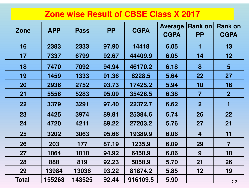#### **Zone wise Result of CBSE Class X 2017**

| <b>Zone</b> | <b>APP</b> | <b>Pass</b> | <b>PP</b> | <b>CGPA</b> | <b>Average</b><br><b>CGPA</b> | <b>Rank on</b><br><b>PP</b> | <b>Rank on</b><br><b>CGPA</b> |
|-------------|------------|-------------|-----------|-------------|-------------------------------|-----------------------------|-------------------------------|
| 16          | 2383       | 2333        | 97.90     | 14418       | 6.05<br>1                     |                             | 13                            |
| 17          | 7337       | 6799        | 92.67     | 44409.9     | 6.05                          | 14                          | 12                            |
| 18          | 7470       | 7092        | 94.94     | 46170.2     | 6.18                          | 8                           | 5                             |
| 19          | 1459       | 1333        | 91.36     | 8228.5      | 5.64                          | 22                          | 27                            |
| <b>20</b>   | 2936       | 2752        | 93.73     | 17425.2     | 5.94                          | 10                          | 16                            |
| 21          | 5556       | 5283        | 95.09     | 35426.5     | 6.38                          | $\overline{\mathbf{7}}$     | $\overline{2}$                |
| 22          | 3379       | 3291        | 97.40     | 22372.7     | 6.62                          | $\overline{2}$              | 1                             |
| 23          | 4425       | 3974        | 89.81     | 25384.6     | 5.74                          | 26                          | 22                            |
| 24          | 4720       | 4211        | 89.22     | 27203.2     | 5.76                          | 27                          | 21                            |
| 25          | 3202       | 3063        | 95.66     | 19389.9     | 6.06                          | 4                           | 11                            |
| 26          | 203        | 177         | 87.19     | 1235.9      | 6.09                          | 29                          | $\overline{7}$                |
| 27          | 1064       | 1010        | 94.92     | 6450.9      | 6.06                          | 9                           | 10                            |
| 28          | 888        | 819         | 92.23     | 5058.9      | 5.70                          | 21                          | 26                            |
| 29          | 13984      | 13036       | 93.22     | 81874.2     | 5.85                          | 12                          | 19                            |
| Total       | 155263     | 143525      | 92.44     | 916109.5    | 5.90                          |                             | 22                            |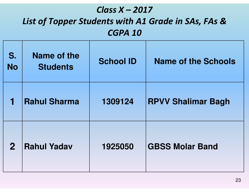#### *Class X – <sup>2017</sup> List of Topper Students with A1 Grade in SAs, FAs &CGPA 10*

| S.<br><b>No</b> | Name of the<br><b>Students</b> | <b>School ID</b> | <b>Name of the Schools</b> |
|-----------------|--------------------------------|------------------|----------------------------|
|                 | <b>Rahul Sharma</b>            | 1309124          | <b>RPVV Shalimar Bagh</b>  |
| $\mathbf{2}$    | <b>Rahul Yadav</b>             | 1925050          | <b>GBSS Molar Band</b>     |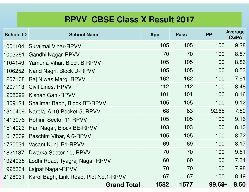#### **RPVV CBSE Class X Result 2017**

| <b>School ID</b> | <b>School Name</b>                    | <b>App</b> | <b>Pass</b> | <b>PP</b> | <b>Average</b><br><b>CGPA</b> |
|------------------|---------------------------------------|------------|-------------|-----------|-------------------------------|
| 1001104          | <b>Surajmal Vihar-RPVV</b>            | 105        | 105         | 100       | 9.28                          |
| 1003261          | <b>Gandhi Nagar-RPVV</b>              | 70         | 70          | 100       | 8.87                          |
| 1104149          | Yamuna Vihar, Block B-RPVV            | 105        | 105         | 100       | 8.86                          |
| 1106252          | Nand Nagri, Block D-RPVV              | 105        | 105         | 100       | 8.53                          |
| 1207108          | Raj Niwas Marg, RPVV                  | 162        | 162         | 100       | 7.91                          |
| 1207113          | <b>Civil Lines, RPVV</b>              | 112        | 112         | 100       | 8.48                          |
|                  | 1208092 Kishan Ganj-RPVV              | 101        | 101         | 100       | 8.16                          |
|                  | 1309124 Shalimar Bagh, Block BT-RPVV  | 105        | 105         | 100       | 9.12                          |
|                  | 1310409 Narela, A-10 Pocket-5, RPVV   | 68         | 63          | 92.65     | 7.50                          |
|                  | 1413076 Rohini, Sector 11-RPVV        | 105        | 105         | 100       | 9.16                          |
|                  | 1514023 Hari Nagar, Block BE-RPVV     | 103        | 103         | 100       | 8.10                          |
|                  | 1617009 Paschim Vihar, A 6-RPVV       | 105        | 105         | 100       | 8.72                          |
| 1720031          | Vasant Kunj, B1-RPVV                  | 69         | 69          | 100       | 8.17                          |
| 1821137          | Dwarka Sector-10, RPVV                | 70         | 70          | 100       | 9.51                          |
| 1924038          | Lodhi Road, Tyagraj Nagar-RPVV        | 60         | 60          | 100       | 7.34                          |
| 1925334          | <b>Lajpat Nagar-RPVV</b>              | 70         | 70          | 100       | 7.98                          |
| 2128031          | Karol Bagh, Link Road, Plot No.1-RPVV | 67         | 67          | 100       | 8.49                          |
|                  | <b>Grand Total</b>                    | 1582       | 1577        | 99.684    | 8.50                          |
|                  |                                       |            |             |           |                               |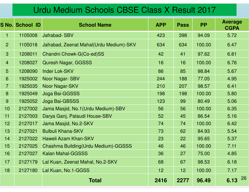#### Urdu Medium Schools CBSE Class X Result 2017

|                | <b>S No. School ID</b> | <b>School Name</b>                      | <b>APP</b> | <b>Pass</b>     | <b>PP</b> | <b>Average</b><br><b>CGPA</b> |
|----------------|------------------------|-----------------------------------------|------------|-----------------|-----------|-------------------------------|
| $\mathbf 1$    | 1105008                | <b>Jafrabad-SBV</b>                     | 423        | 398             | 94.09     | 5.72                          |
| $\overline{2}$ | 1105018                | Jafrabad, Zeenat Mahal(Urdu Medium)-SKV | 634        | 634             | 100.00    | 6.47                          |
| 3              | 1208011                | Chandni Chowk-G(Co-ed)SS                | 42         | 41              | 97.62     | 6.81                          |
| $\overline{4}$ | 1208027                | <b>Quresh Nagar, GGSSS</b>              | 16         | 16              | 100.00    | 6.76                          |
| 5              | 1208090                | <b>Inder Lok-SKV</b>                    | 86         | 85              | 98.84     | 5.67                          |
| 6              | 1925002                | <b>Noor Nagar-SBV</b>                   | 244        | 188             | 77.05     | 4.95                          |
| $\overline{7}$ | 1925035                | Noor Nagar-SKV                          | 210        | 207             | 98.57     | 6.41                          |
| 8              | 1925049                | Joga Bai-GGSSS                          | 198        | 198             | 100.00    | 5.80                          |
| 9              | 1925052                | Joga Bai-GBSSS                          | 123        | 99              | 80.49     | 5.06                          |
| 10             | 2127002                | Jama Masjid, No.1 (Urdu Medium)-SBV     | 56         | 56              | 100.00    | 6.35                          |
| 11             | 2127003                | Darya Ganj, Pataudi House-SBV           | 52         | 45              | 86.54     | 5.16                          |
| 12             | 2127017                | Jama Masjid, No.2-SKV                   | 74         | 74              | 100.00    | 6.42                          |
| 13             | 2127021                | <b>Bulbuli Khana-SKV</b>                | 73         | 62              | 84.93     | 5.54                          |
| 14             | 2127022                | Haweli Azam Khan-SKV                    | 23         | 22              | 95.65     | 5.37                          |
| 15             | 2127025                | Chashma Building (Urdu Medium)-GGSSS    | 46         | 46              | 100.00    | 7.11                          |
| 16             | 2127027                | Kalan Mahal-GGSSS                       | 36         | 27              | 75.00     | 4.85                          |
| 17             | 2127179                | Lal Kuan, Zeenat Mahal, No.2-SKV        | 68         | 67              | 98.53     | 6.18                          |
| 18             | 2127180                | Lal Kuan, No.1-GGSS                     | 12         | 12 <sub>2</sub> | 100.00    | 7.17                          |
|                |                        | <b>Total</b>                            | 2416       | 2277            | 96.49     | 26<br>6.13                    |